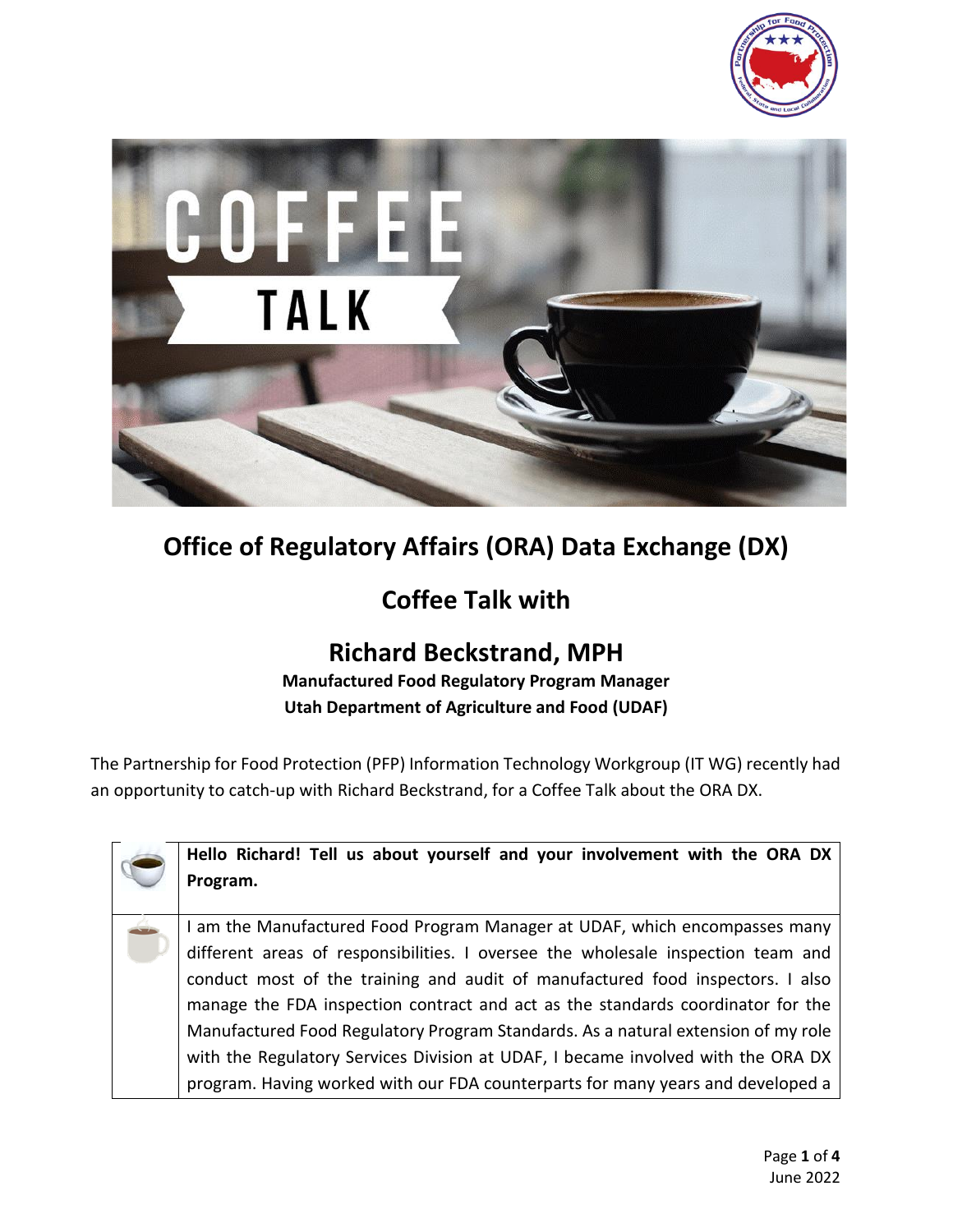



# **Office of Regulatory Affairs (ORA) Data Exchange (DX)**

## **Coffee Talk with**

### **Richard Beckstrand, MPH Manufactured Food Regulatory Program Manager**

**Utah Department of Agriculture and Food (UDAF)**

The Partnership for Food Protection (PFP) Information Technology Workgroup (IT WG) recently had an opportunity to catch-up with Richard Beckstrand, for a Coffee Talk about the ORA DX.

| Hello Richard! Tell us about yourself and your involvement with the ORA DX<br>Program.                                                                                                                                                                                                                                                                                                                                                                                                                                                                                                          |
|-------------------------------------------------------------------------------------------------------------------------------------------------------------------------------------------------------------------------------------------------------------------------------------------------------------------------------------------------------------------------------------------------------------------------------------------------------------------------------------------------------------------------------------------------------------------------------------------------|
| I am the Manufactured Food Program Manager at UDAF, which encompasses many<br>different areas of responsibilities. I oversee the wholesale inspection team and<br>conduct most of the training and audit of manufactured food inspectors. I also<br>manage the FDA inspection contract and act as the standards coordinator for the<br>Manufactured Food Regulatory Program Standards. As a natural extension of my role<br>with the Regulatory Services Division at UDAF, I became involved with the ORA DX<br>program. Having worked with our FDA counterparts for many years and developed a |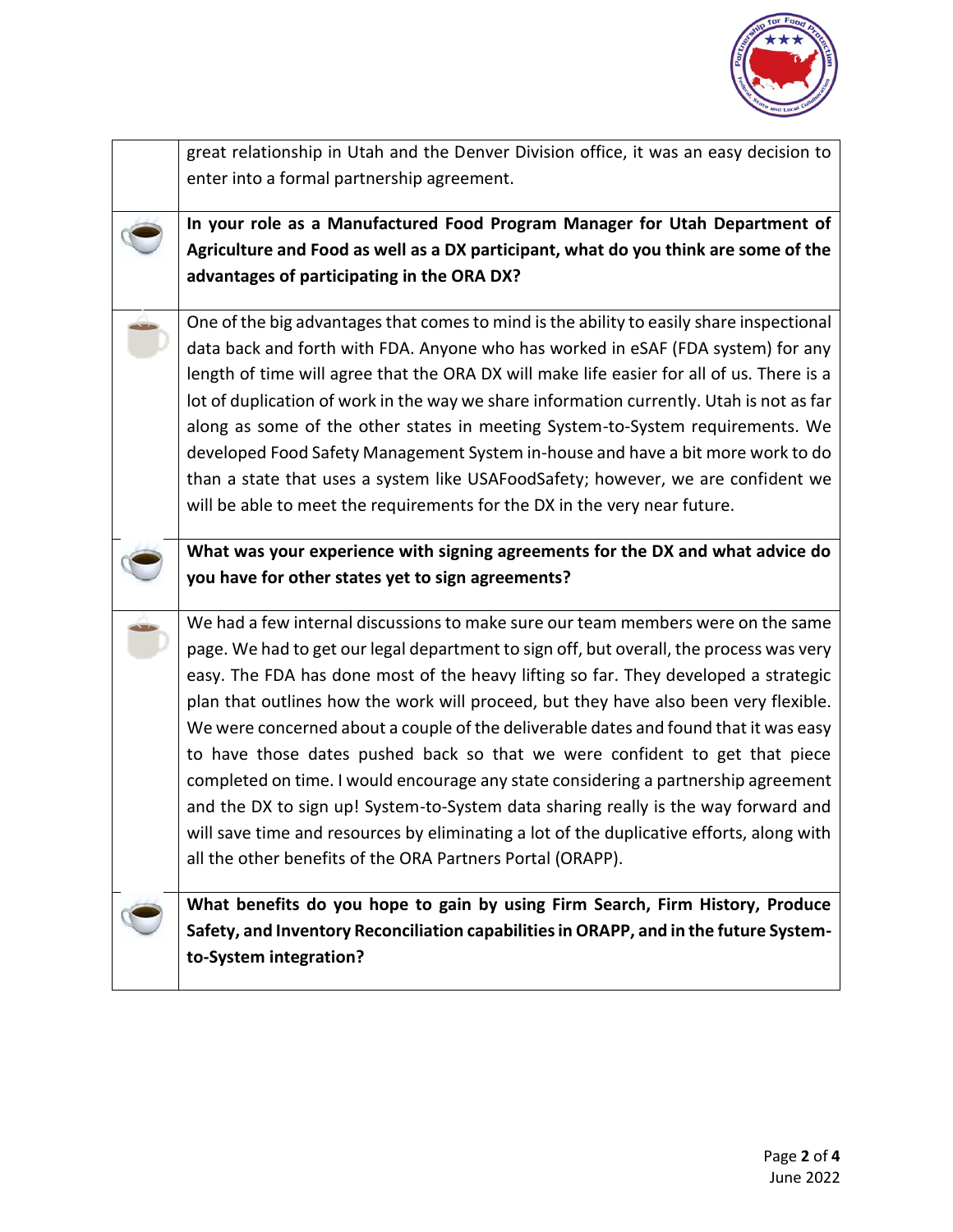

| great relationship in Utah and the Denver Division office, it was an easy decision to     |
|-------------------------------------------------------------------------------------------|
| enter into a formal partnership agreement.                                                |
| In your role as a Manufactured Food Program Manager for Utah Department of                |
| Agriculture and Food as well as a DX participant, what do you think are some of the       |
| advantages of participating in the ORA DX?                                                |
| One of the big advantages that comes to mind is the ability to easily share inspectional  |
| data back and forth with FDA. Anyone who has worked in eSAF (FDA system) for any          |
| length of time will agree that the ORA DX will make life easier for all of us. There is a |
| lot of duplication of work in the way we share information currently. Utah is not as far  |
| along as some of the other states in meeting System-to-System requirements. We            |
| developed Food Safety Management System in-house and have a bit more work to do           |
| than a state that uses a system like USAFoodSafety; however, we are confident we          |
| will be able to meet the requirements for the DX in the very near future.                 |
| What was your experience with signing agreements for the DX and what advice do            |
|                                                                                           |
| you have for other states yet to sign agreements?                                         |
| We had a few internal discussions to make sure our team members were on the same          |
| page. We had to get our legal department to sign off, but overall, the process was very   |
| easy. The FDA has done most of the heavy lifting so far. They developed a strategic       |
| plan that outlines how the work will proceed, but they have also been very flexible.      |
| We were concerned about a couple of the deliverable dates and found that it was easy      |
| to have those dates pushed back so that we were confident to get that piece               |
| completed on time. I would encourage any state considering a partnership agreement        |
| and the DX to sign up! System-to-System data sharing really is the way forward and        |
| will save time and resources by eliminating a lot of the duplicative efforts, along with  |
| all the other benefits of the ORA Partners Portal (ORAPP).                                |
| What benefits do you hope to gain by using Firm Search, Firm History, Produce             |
| Safety, and Inventory Reconciliation capabilities in ORAPP, and in the future System-     |
| to-System integration?                                                                    |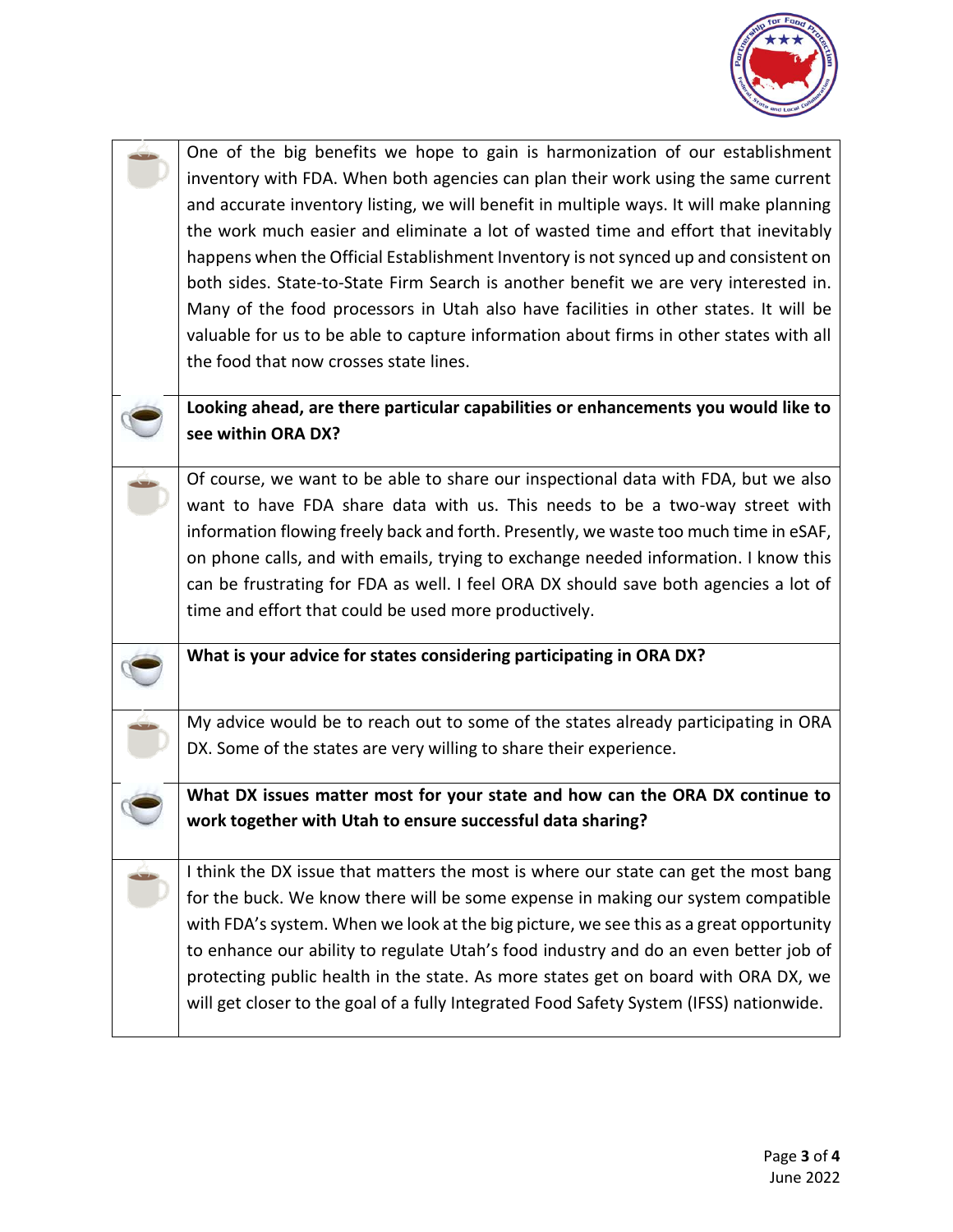

One of the big benefits we hope to gain is harmonization of our establishment inventory with FDA. When both agencies can plan their work using the same current and accurate inventory listing, we will benefit in multiple ways. It will make planning the work much easier and eliminate a lot of wasted time and effort that inevitably happens when the Official Establishment Inventory is not synced up and consistent on both sides. State-to-State Firm Search is another benefit we are very interested in. Many of the food processors in Utah also have facilities in other states. It will be valuable for us to be able to capture information about firms in other states with all the food that now crosses state lines.

### **Looking ahead, are there particular capabilities or enhancements you would like to see within ORA DX?**

Of course, we want to be able to share our inspectional data with FDA, but we also want to have FDA share data with us. This needs to be a two-way street with information flowing freely back and forth. Presently, we waste too much time in eSAF, on phone calls, and with emails, trying to exchange needed information. I know this can be frustrating for FDA as well. I feel ORA DX should save both agencies a lot of time and effort that could be used more productively.

#### **What is your advice for states considering participating in ORA DX?**

My advice would be to reach out to some of the states already participating in ORA DX. Some of the states are very willing to share their experience.

**What DX issues matter most for your state and how can the ORA DX continue to work together with Utah to ensure successful data sharing?**

I think the DX issue that matters the most is where our state can get the most bang for the buck. We know there will be some expense in making our system compatible with FDA's system. When we look at the big picture, we see this as a great opportunity to enhance our ability to regulate Utah's food industry and do an even better job of protecting public health in the state. As more states get on board with ORA DX, we will get closer to the goal of a fully Integrated Food Safety System (IFSS) nationwide.